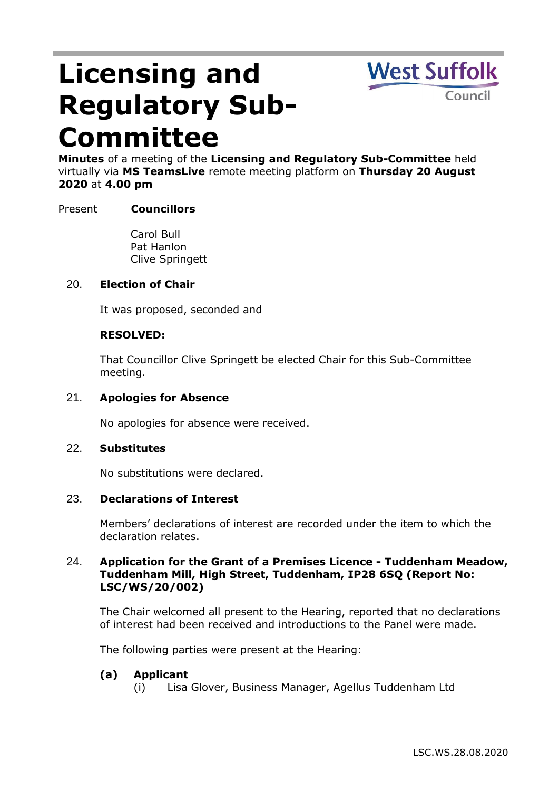# **Licensing and Regulatory Sub-Committee**



**Minutes** of a meeting of the **Licensing and Regulatory Sub-Committee** held virtually via **MS TeamsLive** remote meeting platform on **Thursday 20 August 2020** at **4.00 pm**

# Present **Councillors**

Carol Bull Pat Hanlon Clive Springett

## 20. **Election of Chair**

It was proposed, seconded and

## **RESOLVED:**

That Councillor Clive Springett be elected Chair for this Sub-Committee meeting.

#### 21. **Apologies for Absence**

No apologies for absence were received.

#### 22. **Substitutes**

No substitutions were declared.

#### 23. **Declarations of Interest**

Members' declarations of interest are recorded under the item to which the declaration relates.

# 24. **Application for the Grant of a Premises Licence - Tuddenham Meadow, Tuddenham Mill, High Street, Tuddenham, IP28 6SQ (Report No: LSC/WS/20/002)**

The Chair welcomed all present to the Hearing, reported that no declarations of interest had been received and introductions to the Panel were made.

The following parties were present at the Hearing:

#### **(a) Applicant**

(i) Lisa Glover, Business Manager, Agellus Tuddenham Ltd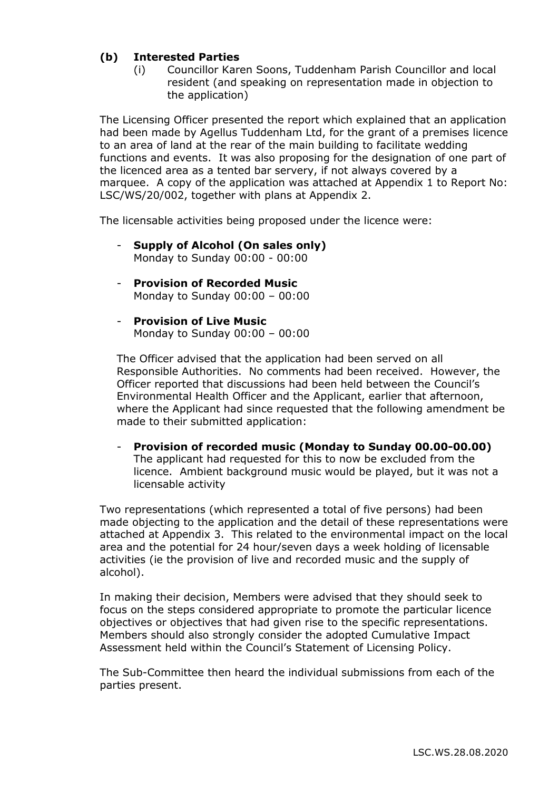# **(b) Interested Parties**

(i) Councillor Karen Soons, Tuddenham Parish Councillor and local resident (and speaking on representation made in objection to the application)

The Licensing Officer presented the report which explained that an application had been made by Agellus Tuddenham Ltd, for the grant of a premises licence to an area of land at the rear of the main building to facilitate wedding functions and events. It was also proposing for the designation of one part of the licenced area as a tented bar servery, if not always covered by a marquee. A copy of the application was attached at Appendix 1 to Report No: LSC/WS/20/002, together with plans at Appendix 2.

The licensable activities being proposed under the licence were:

- **Supply of Alcohol (On sales only)** Monday to Sunday 00:00 - 00:00
- **Provision of Recorded Music**  Monday to Sunday 00:00 – 00:00
- **Provision of Live Music**  Monday to Sunday 00:00 – 00:00

The Officer advised that the application had been served on all Responsible Authorities. No comments had been received. However, the Officer reported that discussions had been held between the Council's Environmental Health Officer and the Applicant, earlier that afternoon, where the Applicant had since requested that the following amendment be made to their submitted application:

- **Provision of recorded music (Monday to Sunday 00.00-00.00)** The applicant had requested for this to now be excluded from the licence. Ambient background music would be played, but it was not a licensable activity

Two representations (which represented a total of five persons) had been made objecting to the application and the detail of these representations were attached at Appendix 3. This related to the environmental impact on the local area and the potential for 24 hour/seven days a week holding of licensable activities (ie the provision of live and recorded music and the supply of alcohol).

In making their decision, Members were advised that they should seek to focus on the steps considered appropriate to promote the particular licence objectives or objectives that had given rise to the specific representations. Members should also strongly consider the adopted Cumulative Impact Assessment held within the Council's Statement of Licensing Policy.

The Sub-Committee then heard the individual submissions from each of the parties present.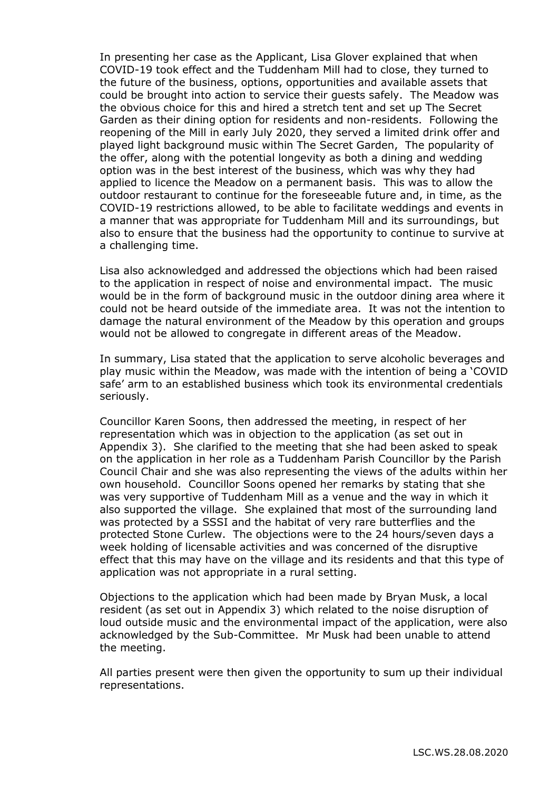In presenting her case as the Applicant, Lisa Glover explained that when COVID-19 took effect and the Tuddenham Mill had to close, they turned to the future of the business, options, opportunities and available assets that could be brought into action to service their guests safely. The Meadow was the obvious choice for this and hired a stretch tent and set up The Secret Garden as their dining option for residents and non-residents. Following the reopening of the Mill in early July 2020, they served a limited drink offer and played light background music within The Secret Garden, The popularity of the offer, along with the potential longevity as both a dining and wedding option was in the best interest of the business, which was why they had applied to licence the Meadow on a permanent basis. This was to allow the outdoor restaurant to continue for the foreseeable future and, in time, as the COVID-19 restrictions allowed, to be able to facilitate weddings and events in a manner that was appropriate for Tuddenham Mill and its surroundings, but also to ensure that the business had the opportunity to continue to survive at a challenging time.

Lisa also acknowledged and addressed the objections which had been raised to the application in respect of noise and environmental impact. The music would be in the form of background music in the outdoor dining area where it could not be heard outside of the immediate area. It was not the intention to damage the natural environment of the Meadow by this operation and groups would not be allowed to congregate in different areas of the Meadow.

In summary, Lisa stated that the application to serve alcoholic beverages and play music within the Meadow, was made with the intention of being a 'COVID safe' arm to an established business which took its environmental credentials seriously.

Councillor Karen Soons, then addressed the meeting, in respect of her representation which was in objection to the application (as set out in Appendix 3). She clarified to the meeting that she had been asked to speak on the application in her role as a Tuddenham Parish Councillor by the Parish Council Chair and she was also representing the views of the adults within her own household. Councillor Soons opened her remarks by stating that she was very supportive of Tuddenham Mill as a venue and the way in which it also supported the village. She explained that most of the surrounding land was protected by a SSSI and the habitat of very rare butterflies and the protected Stone Curlew. The objections were to the 24 hours/seven days a week holding of licensable activities and was concerned of the disruptive effect that this may have on the village and its residents and that this type of application was not appropriate in a rural setting.

Objections to the application which had been made by Bryan Musk, a local resident (as set out in Appendix 3) which related to the noise disruption of loud outside music and the environmental impact of the application, were also acknowledged by the Sub-Committee. Mr Musk had been unable to attend the meeting.

All parties present were then given the opportunity to sum up their individual representations.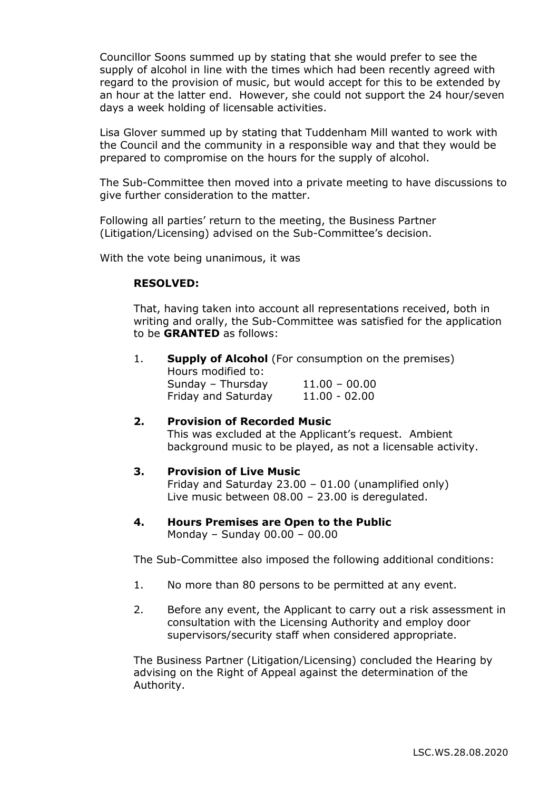Councillor Soons summed up by stating that she would prefer to see the supply of alcohol in line with the times which had been recently agreed with regard to the provision of music, but would accept for this to be extended by an hour at the latter end. However, she could not support the 24 hour/seven days a week holding of licensable activities.

Lisa Glover summed up by stating that Tuddenham Mill wanted to work with the Council and the community in a responsible way and that they would be prepared to compromise on the hours for the supply of alcohol.

The Sub-Committee then moved into a private meeting to have discussions to give further consideration to the matter.

Following all parties' return to the meeting, the Business Partner (Litigation/Licensing) advised on the Sub-Committee's decision.

With the vote being unanimous, it was

#### **RESOLVED:**

That, having taken into account all representations received, both in writing and orally, the Sub-Committee was satisfied for the application to be **GRANTED** as follows:

|  | <b>Supply of Alcohol</b> (For consumption on the premises)<br>Hours modified to: |                     |
|--|----------------------------------------------------------------------------------|---------------------|
|  |                                                                                  |                     |
|  |                                                                                  | Friday and Saturday |

# **2. Provision of Recorded Music**

This was excluded at the Applicant's request. Ambient background music to be played, as not a licensable activity.

# **3. Provision of Live Music**

Friday and Saturday 23.00 – 01.00 (unamplified only) Live music between 08.00 – 23.00 is deregulated.

**4. Hours Premises are Open to the Public** Monday – Sunday 00.00 – 00.00

The Sub-Committee also imposed the following additional conditions:

- 1. No more than 80 persons to be permitted at any event.
- 2. Before any event, the Applicant to carry out a risk assessment in consultation with the Licensing Authority and employ door supervisors/security staff when considered appropriate.

The Business Partner (Litigation/Licensing) concluded the Hearing by advising on the Right of Appeal against the determination of the Authority.